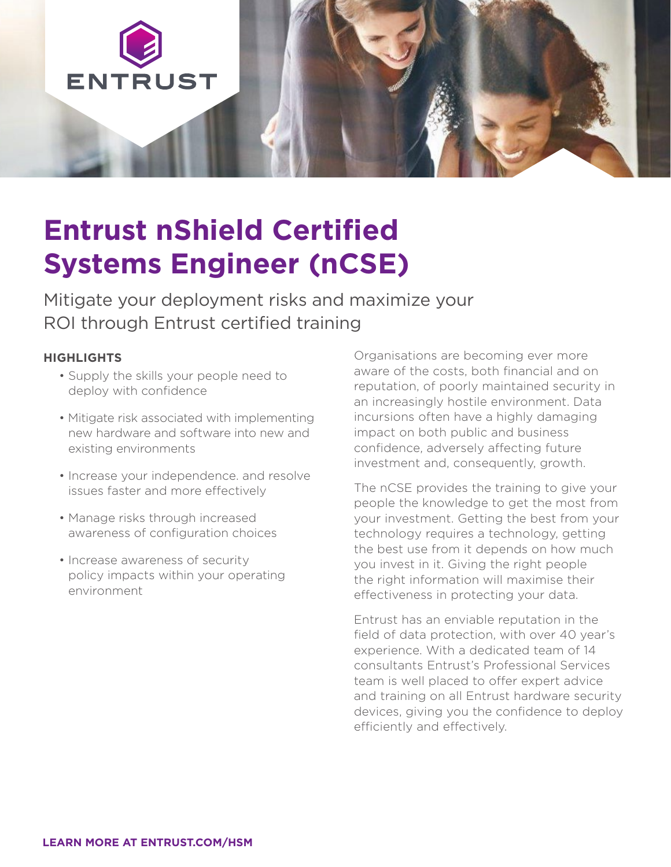

# **Entrust nShield Certified Systems Engineer (nCSE)**

Mitigate your deployment risks and maximize your ROI through Entrust certified training

#### **HIGHLIGHTS**

- Supply the skills your people need to deploy with confidence
- Mitigate risk associated with implementing new hardware and software into new and existing environments
- Increase your independence. and resolve issues faster and more effectively
- Manage risks through increased awareness of configuration choices
- Increase awareness of security policy impacts within your operating environment

Organisations are becoming ever more aware of the costs, both financial and on reputation, of poorly maintained security in an increasingly hostile environment. Data incursions often have a highly damaging impact on both public and business confidence, adversely affecting future investment and, consequently, growth.

The nCSE provides the training to give your people the knowledge to get the most from your investment. Getting the best from your technology requires a technology, getting the best use from it depends on how much you invest in it. Giving the right people the right information will maximise their effectiveness in protecting your data.

Entrust has an enviable reputation in the field of data protection, with over 40 year's experience. With a dedicated team of 14 consultants Entrust's Professional Services team is well placed to offer expert advice and training on all Entrust hardware security devices, giving you the confidence to deploy efficiently and effectively.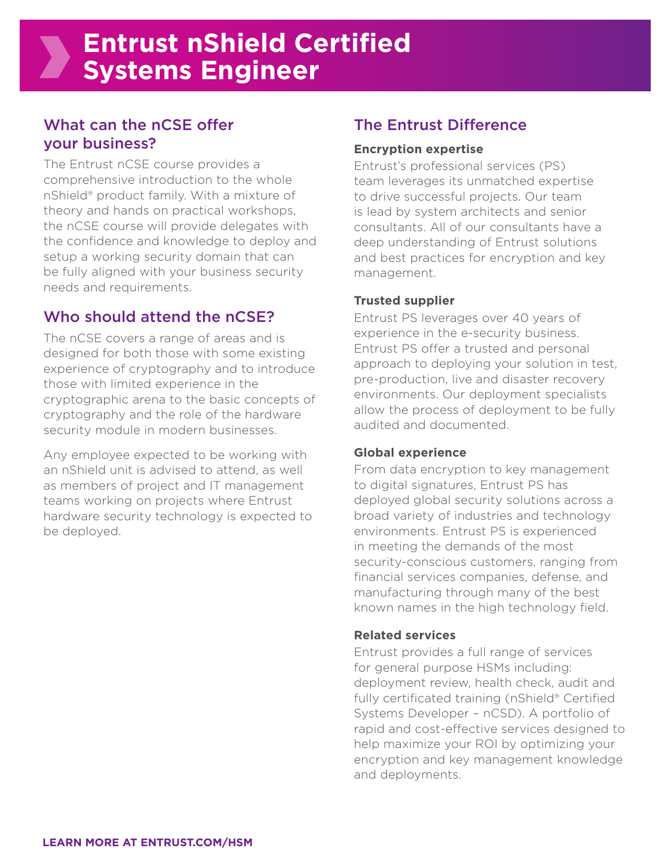### What can the nCSE offer your business?

The Entrust nCSE course provides a comprehensive introduction to the whole nShield® product family. With a mixture of theory and hands on practical workshops, the nCSE course will provide delegates with the confidence and knowledge to deploy and setup a working security domain that can be fully aligned with your business security needs and requirements.

## Who should attend the nCSE?

The nCSE covers a range of areas and is designed for both those with some existing experience of cryptography and to introduce those with limited experience in the cryptographic arena to the basic concepts of cryptography and the role of the hardware security module in modern businesses.

Any employee expected to be working with an nShield unit is advised to attend, as well as members of project and IT management teams working on projects where Entrust hardware security technology is expected to be deployed.

## The Entrust Difference

#### **Encryption expertise**

Entrust's professional services (PS) team leverages its unmatched expertise to drive successful projects. Our team is lead by system architects and senior consultants. All of our consultants have a deep understanding of Entrust solutions and best practices for encryption and key management.

#### **Trusted supplier**

Entrust PS leverages over 40 years of experience in the e-security business. Entrust PS offer a trusted and personal approach to deploying your solution in test, pre-production, live and disaster recovery environments. Our deployment specialists allow the process of deployment to be fully audited and documented.

#### **Global experience**

From data encryption to key management to digital signatures, Entrust PS has deployed global security solutions across a broad variety of industries and technology environments. Entrust PS is experienced in meeting the demands of the most security-conscious customers, ranging from financial services companies, defense, and manufacturing through many of the best known names in the high technology field.

#### **Related services**

Entrust provides a full range of services for general purpose HSMs including: deployment review, health check, audit and fully certificated training (nShield® Certified Systems Developer – nCSD). A portfolio of rapid and cost-effective services designed to help maximize your ROI by optimizing your encryption and key management knowledge and deployments.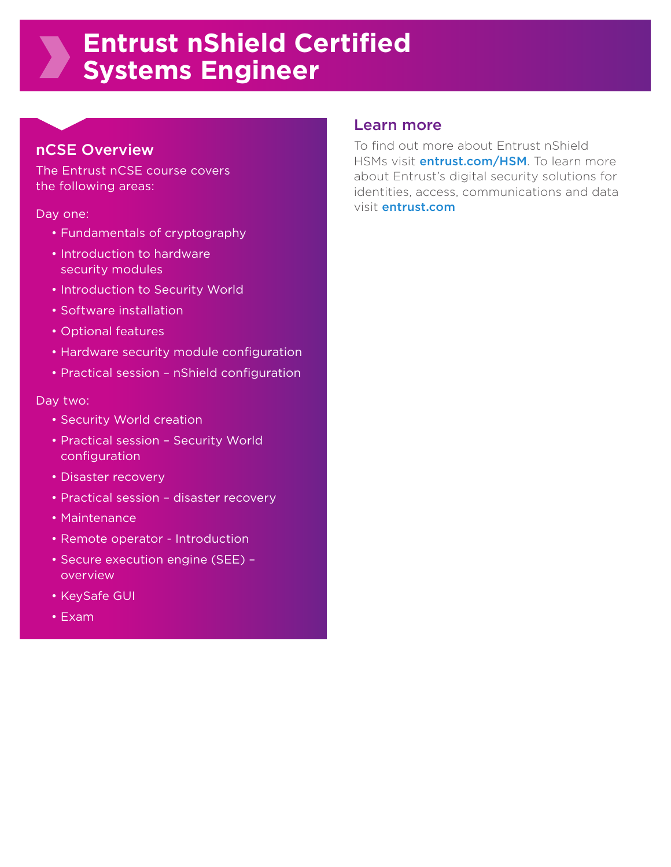## **Entrust nShield Certified Systems Engineer**

#### nCSE Overview

The Entrust nCSE course covers the following areas:

Day one:

- Fundamentals of cryptography
- Introduction to hardware security modules
- Introduction to Security World
- Software installation
- Optional features
- Hardware security module configuration
- Practical session nShield configuration

#### Day two:

- Security World creation
- Practical session Security World configuration
- Disaster recovery
- Practical session disaster recovery
- Maintenance
- Remote operator Introduction
- Secure execution engine (SEE) overview
- KeySafe GUI
- Exam

#### Learn more

To find out more about Entrust nShield HSMs visit **[entrust.com/HSM](http://www.entrust.com/hsm)**. To learn more about Entrust's digital security solutions for identities, access, communications and data visit [entrust.com](http://www.entrust.com)